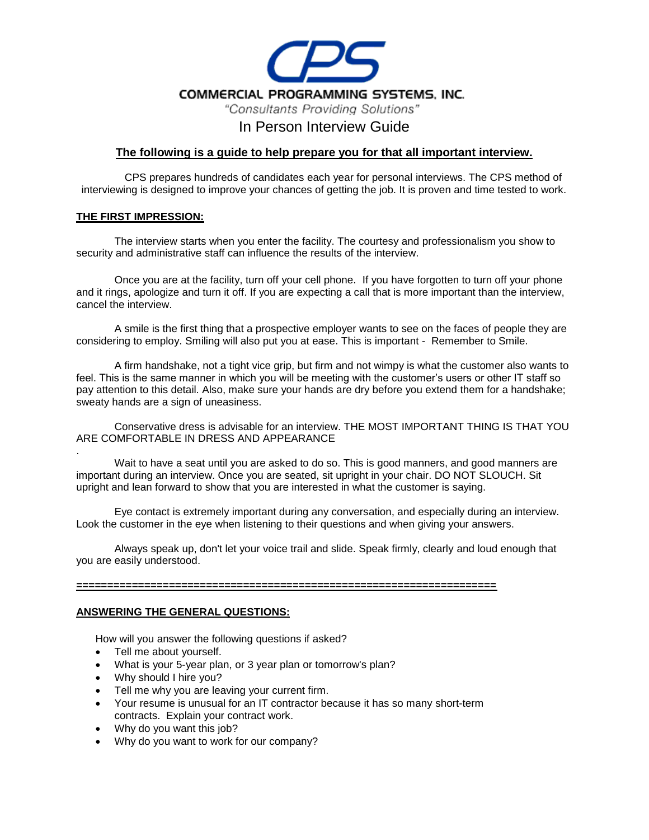

# In Person Interview Guide

### **The following is a guide to help prepare you for that all important interview.**

CPS prepares hundreds of candidates each year for personal interviews. The CPS method of interviewing is designed to improve your chances of getting the job. It is proven and time tested to work.

#### **THE FIRST IMPRESSION:**

The interview starts when you enter the facility. The courtesy and professionalism you show to security and administrative staff can influence the results of the interview.

Once you are at the facility, turn off your cell phone. If you have forgotten to turn off your phone and it rings, apologize and turn it off. If you are expecting a call that is more important than the interview, cancel the interview.

A smile is the first thing that a prospective employer wants to see on the faces of people they are considering to employ. Smiling will also put you at ease. This is important - Remember to Smile.

A firm handshake, not a tight vice grip, but firm and not wimpy is what the customer also wants to feel. This is the same manner in which you will be meeting with the customer's users or other IT staff so pay attention to this detail. Also, make sure your hands are dry before you extend them for a handshake; sweaty hands are a sign of uneasiness.

Conservative dress is advisable for an interview. THE MOST IMPORTANT THING IS THAT YOU ARE COMFORTABLE IN DRESS AND APPEARANCE

. Wait to have a seat until you are asked to do so. This is good manners, and good manners are important during an interview. Once you are seated, sit upright in your chair. DO NOT SLOUCH. Sit upright and lean forward to show that you are interested in what the customer is saying.

Eye contact is extremely important during any conversation, and especially during an interview. Look the customer in the eye when listening to their questions and when giving your answers.

Always speak up, don't let your voice trail and slide. Speak firmly, clearly and loud enough that you are easily understood.

#### **====================================================================**

#### **ANSWERING THE GENERAL QUESTIONS:**

How will you answer the following questions if asked?

- Tell me about yourself.
- What is your 5-year plan, or 3 year plan or tomorrow's plan?
- Why should I hire you?
- Tell me why you are leaving your current firm.
- Your resume is unusual for an IT contractor because it has so many short-term contracts. Explain your contract work.
- Why do you want this job?
- Why do you want to work for our company?